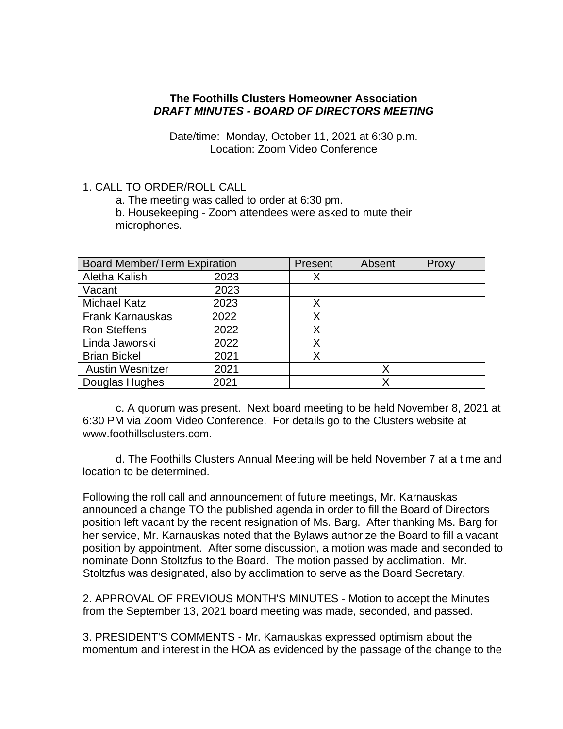#### **The Foothills Clusters Homeowner Association** *DRAFT MINUTES - BOARD OF DIRECTORS MEETING*

Date/time: Monday, October 11, 2021 at 6:30 p.m. Location: Zoom Video Conference

#### 1. CALL TO ORDER/ROLL CALL

a. The meeting was called to order at 6:30 pm.

b. Housekeeping - Zoom attendees were asked to mute their microphones.

| <b>Board Member/Term Expiration</b> |      | Present | Absent | Proxy |
|-------------------------------------|------|---------|--------|-------|
| Aletha Kalish                       | 2023 | X       |        |       |
| Vacant                              | 2023 |         |        |       |
| <b>Michael Katz</b>                 | 2023 |         |        |       |
| <b>Frank Karnauskas</b>             | 2022 | X       |        |       |
| <b>Ron Steffens</b>                 | 2022 | х       |        |       |
| Linda Jaworski                      | 2022 | Χ       |        |       |
| <b>Brian Bickel</b>                 | 2021 | x       |        |       |
| <b>Austin Wesnitzer</b>             | 2021 |         | X      |       |
| Douglas Hughes                      | 2021 |         | Χ      |       |

c. A quorum was present. Next board meeting to be held November 8, 2021 at 6:30 PM via Zoom Video Conference. For details go to the Clusters website at www.foothillsclusters.com.

d. The Foothills Clusters Annual Meeting will be held November 7 at a time and location to be determined.

Following the roll call and announcement of future meetings, Mr. Karnauskas announced a change TO the published agenda in order to fill the Board of Directors position left vacant by the recent resignation of Ms. Barg. After thanking Ms. Barg for her service, Mr. Karnauskas noted that the Bylaws authorize the Board to fill a vacant position by appointment. After some discussion, a motion was made and seconded to nominate Donn Stoltzfus to the Board. The motion passed by acclimation. Mr. Stoltzfus was designated, also by acclimation to serve as the Board Secretary.

2. APPROVAL OF PREVIOUS MONTH'S MINUTES - Motion to accept the Minutes from the September 13, 2021 board meeting was made, seconded, and passed.

3. PRESIDENT'S COMMENTS - Mr. Karnauskas expressed optimism about the momentum and interest in the HOA as evidenced by the passage of the change to the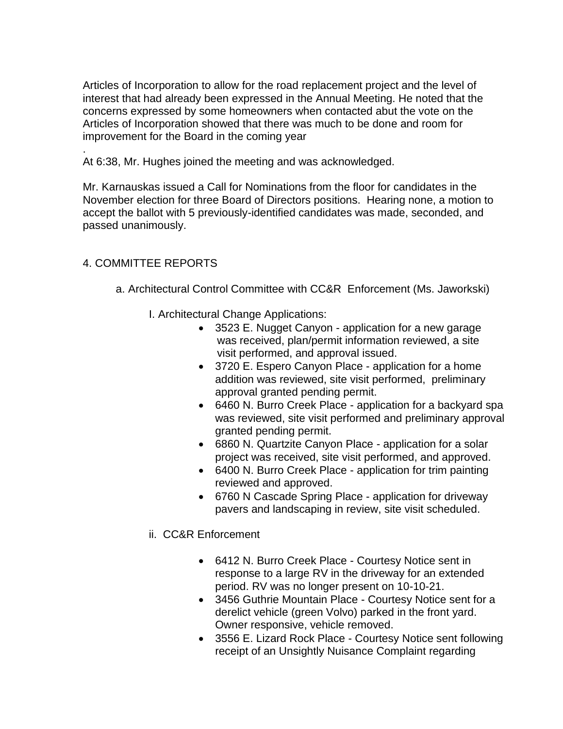Articles of Incorporation to allow for the road replacement project and the level of interest that had already been expressed in the Annual Meeting. He noted that the concerns expressed by some homeowners when contacted abut the vote on the Articles of Incorporation showed that there was much to be done and room for improvement for the Board in the coming year

At 6:38, Mr. Hughes joined the meeting and was acknowledged.

Mr. Karnauskas issued a Call for Nominations from the floor for candidates in the November election for three Board of Directors positions. Hearing none, a motion to accept the ballot with 5 previously-identified candidates was made, seconded, and passed unanimously.

# 4. COMMITTEE REPORTS

.

- a. Architectural Control Committee with CC&R Enforcement (Ms. Jaworkski)
	- I. Architectural Change Applications:
		- 3523 E. Nugget Canyon application for a new garage was received, plan/permit information reviewed, a site visit performed, and approval issued.
		- 3720 E. Espero Canyon Place application for a home addition was reviewed, site visit performed, preliminary approval granted pending permit.
		- 6460 N. Burro Creek Place application for a backyard spa was reviewed, site visit performed and preliminary approval granted pending permit.
		- 6860 N. Quartzite Canyon Place application for a solar project was received, site visit performed, and approved.
		- 6400 N. Burro Creek Place application for trim painting reviewed and approved.
		- 6760 N Cascade Spring Place application for driveway pavers and landscaping in review, site visit scheduled.
	- ii. CC&R Enforcement
		- 6412 N. Burro Creek Place Courtesy Notice sent in response to a large RV in the driveway for an extended period. RV was no longer present on 10-10-21.
		- 3456 Guthrie Mountain Place Courtesy Notice sent for a derelict vehicle (green Volvo) parked in the front yard. Owner responsive, vehicle removed.
		- 3556 E. Lizard Rock Place Courtesy Notice sent following receipt of an Unsightly Nuisance Complaint regarding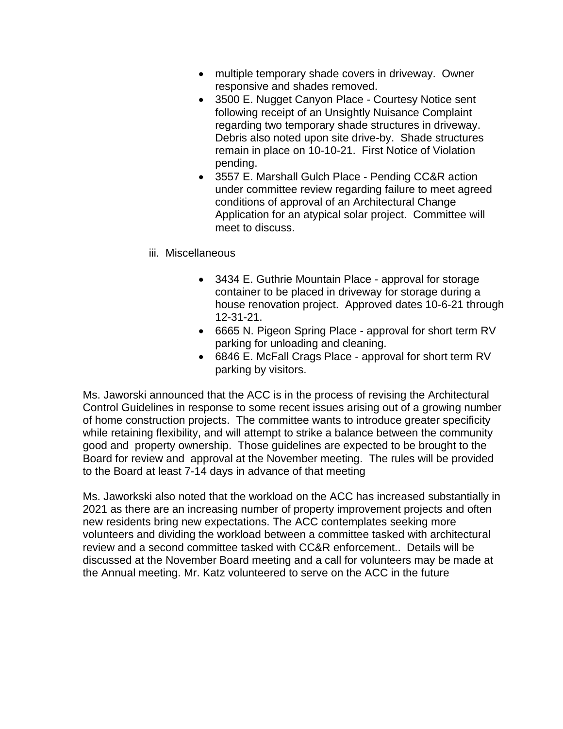- multiple temporary shade covers in driveway. Owner responsive and shades removed.
- 3500 E. Nugget Canyon Place Courtesy Notice sent following receipt of an Unsightly Nuisance Complaint regarding two temporary shade structures in driveway. Debris also noted upon site drive-by. Shade structures remain in place on 10-10-21. First Notice of Violation pending.
- 3557 E. Marshall Gulch Place Pending CC&R action under committee review regarding failure to meet agreed conditions of approval of an Architectural Change Application for an atypical solar project. Committee will meet to discuss.
- iii. Miscellaneous
	- 3434 E. Guthrie Mountain Place approval for storage container to be placed in driveway for storage during a house renovation project. Approved dates 10-6-21 through 12-31-21.
	- 6665 N. Pigeon Spring Place approval for short term RV parking for unloading and cleaning.
	- 6846 E. McFall Crags Place approval for short term RV parking by visitors.

Ms. Jaworski announced that the ACC is in the process of revising the Architectural Control Guidelines in response to some recent issues arising out of a growing number of home construction projects. The committee wants to introduce greater specificity while retaining flexibility, and will attempt to strike a balance between the community good and property ownership. Those guidelines are expected to be brought to the Board for review and approval at the November meeting. The rules will be provided to the Board at least 7-14 days in advance of that meeting

Ms. Jaworkski also noted that the workload on the ACC has increased substantially in 2021 as there are an increasing number of property improvement projects and often new residents bring new expectations. The ACC contemplates seeking more volunteers and dividing the workload between a committee tasked with architectural review and a second committee tasked with CC&R enforcement.. Details will be discussed at the November Board meeting and a call for volunteers may be made at the Annual meeting. Mr. Katz volunteered to serve on the ACC in the future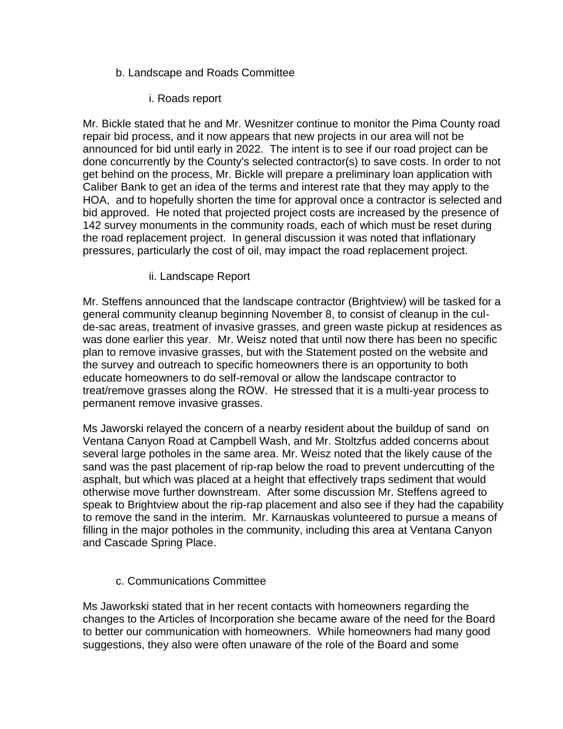# b. Landscape and Roads Committee

i. Roads report

Mr. Bickle stated that he and Mr. Wesnitzer continue to monitor the Pima County road repair bid process, and it now appears that new projects in our area will not be announced for bid until early in 2022. The intent is to see if our road project can be done concurrently by the County's selected contractor(s) to save costs. In order to not get behind on the process, Mr. Bickle will prepare a preliminary loan application with Caliber Bank to get an idea of the terms and interest rate that they may apply to the HOA, and to hopefully shorten the time for approval once a contractor is selected and bid approved. He noted that projected project costs are increased by the presence of 142 survey monuments in the community roads, each of which must be reset during the road replacement project. In general discussion it was noted that inflationary pressures, particularly the cost of oil, may impact the road replacement project.

### ii. Landscape Report

Mr. Steffens announced that the landscape contractor (Brightview) will be tasked for a general community cleanup beginning November 8, to consist of cleanup in the culde-sac areas, treatment of invasive grasses, and green waste pickup at residences as was done earlier this year. Mr. Weisz noted that until now there has been no specific plan to remove invasive grasses, but with the Statement posted on the website and the survey and outreach to specific homeowners there is an opportunity to both educate homeowners to do self-removal or allow the landscape contractor to treat/remove grasses along the ROW. He stressed that it is a multi-year process to permanent remove invasive grasses.

Ms Jaworski relayed the concern of a nearby resident about the buildup of sand on Ventana Canyon Road at Campbell Wash, and Mr. Stoltzfus added concerns about several large potholes in the same area. Mr. Weisz noted that the likely cause of the sand was the past placement of rip-rap below the road to prevent undercutting of the asphalt, but which was placed at a height that effectively traps sediment that would otherwise move further downstream. After some discussion Mr. Steffens agreed to speak to Brightview about the rip-rap placement and also see if they had the capability to remove the sand in the interim. Mr. Karnauskas volunteered to pursue a means of filling in the major potholes in the community, including this area at Ventana Canyon and Cascade Spring Place.

### c. Communications Committee

Ms Jaworkski stated that in her recent contacts with homeowners regarding the changes to the Articles of Incorporation she became aware of the need for the Board to better our communication with homeowners. While homeowners had many good suggestions, they also were often unaware of the role of the Board and some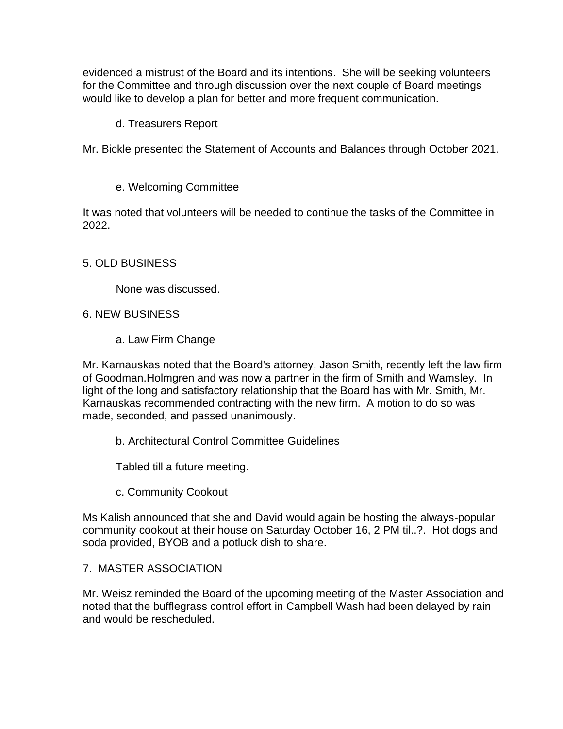evidenced a mistrust of the Board and its intentions. She will be seeking volunteers for the Committee and through discussion over the next couple of Board meetings would like to develop a plan for better and more frequent communication.

## d. Treasurers Report

Mr. Bickle presented the Statement of Accounts and Balances through October 2021.

e. Welcoming Committee

It was noted that volunteers will be needed to continue the tasks of the Committee in 2022.

# 5. OLD BUSINESS

None was discussed.

### 6. NEW BUSINESS

a. Law Firm Change

Mr. Karnauskas noted that the Board's attorney, Jason Smith, recently left the law firm of Goodman.Holmgren and was now a partner in the firm of Smith and Wamsley. In light of the long and satisfactory relationship that the Board has with Mr. Smith, Mr. Karnauskas recommended contracting with the new firm. A motion to do so was made, seconded, and passed unanimously.

b. Architectural Control Committee Guidelines

Tabled till a future meeting.

c. Community Cookout

Ms Kalish announced that she and David would again be hosting the always-popular community cookout at their house on Saturday October 16, 2 PM til..?. Hot dogs and soda provided, BYOB and a potluck dish to share.

# 7. MASTER ASSOCIATION

Mr. Weisz reminded the Board of the upcoming meeting of the Master Association and noted that the bufflegrass control effort in Campbell Wash had been delayed by rain and would be rescheduled.